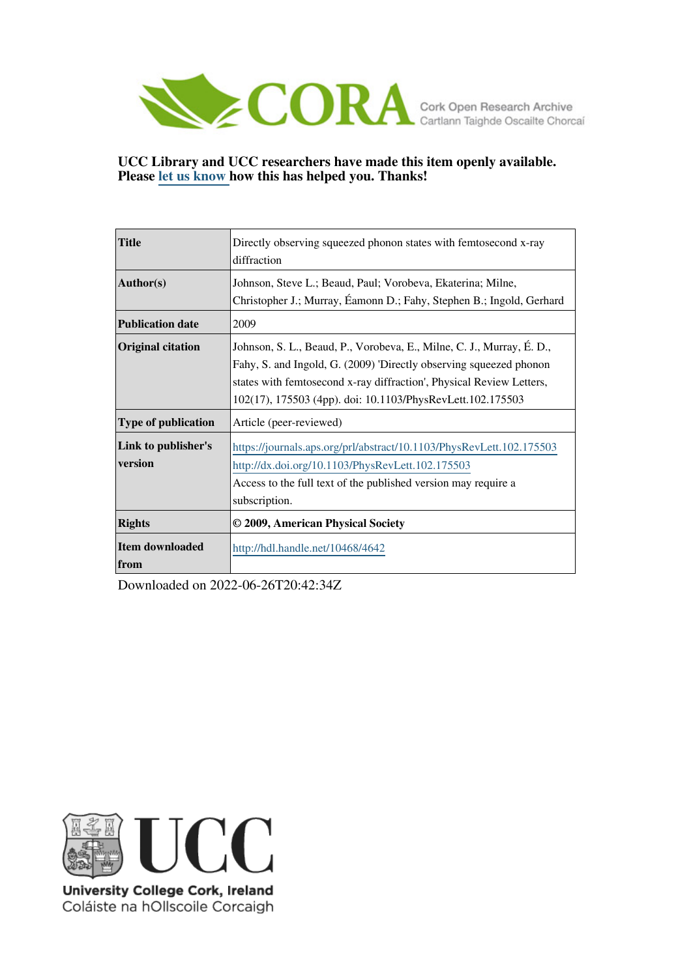

## **UCC Library and UCC researchers have made this item openly available. Please [let us know h](https://libguides.ucc.ie/openaccess/impact?suffix=4642&title=Directly observing squeezed phonon states with femtosecond x-ray diffraction)ow this has helped you. Thanks!**

| <b>Title</b>                   | Directly observing squeezed phonon states with femtosecond x-ray<br>diffraction                                                                                                                                                                                                   |
|--------------------------------|-----------------------------------------------------------------------------------------------------------------------------------------------------------------------------------------------------------------------------------------------------------------------------------|
| <b>Author(s)</b>               | Johnson, Steve L.; Beaud, Paul; Vorobeva, Ekaterina; Milne,<br>Christopher J.; Murray, Éamonn D.; Fahy, Stephen B.; Ingold, Gerhard                                                                                                                                               |
| <b>Publication date</b>        | 2009                                                                                                                                                                                                                                                                              |
| <b>Original citation</b>       | Johnson, S. L., Beaud, P., Vorobeva, E., Milne, C. J., Murray, É. D.,<br>Fahy, S. and Ingold, G. (2009) 'Directly observing squeezed phonon<br>states with femtosecond x-ray diffraction', Physical Review Letters,<br>102(17), 175503 (4pp). doi: 10.1103/PhysRevLett.102.175503 |
| <b>Type of publication</b>     | Article (peer-reviewed)                                                                                                                                                                                                                                                           |
| Link to publisher's<br>version | https://journals.aps.org/prl/abstract/10.1103/PhysRevLett.102.175503<br>http://dx.doi.org/10.1103/PhysRevLett.102.175503<br>Access to the full text of the published version may require a<br>subscription.                                                                       |
| <b>Rights</b>                  | © 2009, American Physical Society                                                                                                                                                                                                                                                 |
| Item downloaded<br>from        | http://hdl.handle.net/10468/4642                                                                                                                                                                                                                                                  |

Downloaded on 2022-06-26T20:42:34Z



University College Cork, Ireland Coláiste na hOllscoile Corcaigh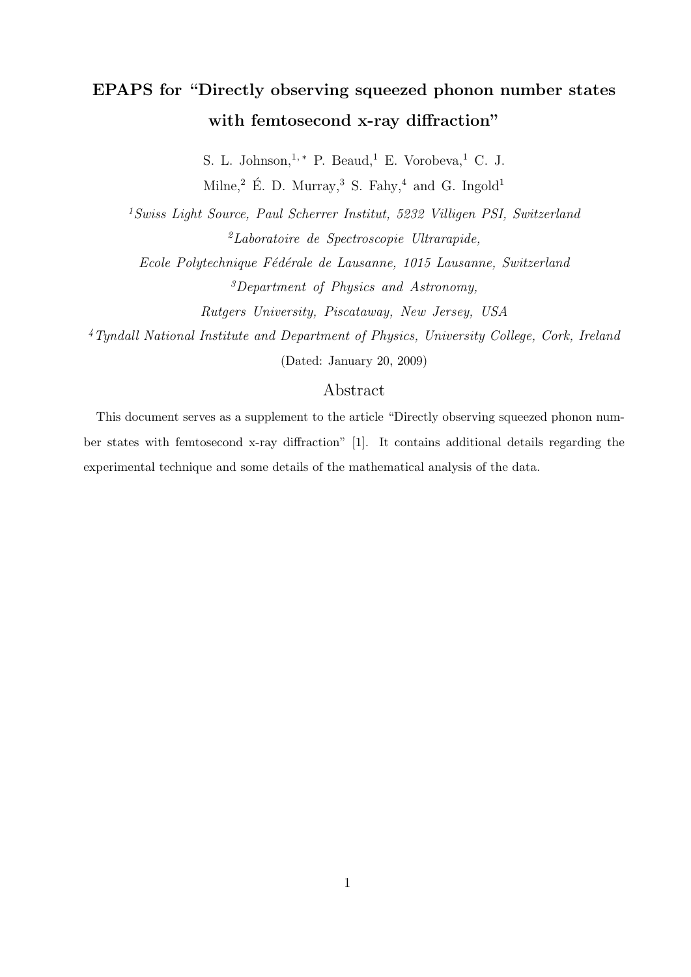# EPAPS for "Directly observing squeezed phonon number states with femtosecond x-ray diffraction"

S. L. Johnson,  $1, *$  P. Beaud, <sup>1</sup> E. Vorobeva, <sup>1</sup> C. J. Milne,<sup>2</sup> E. D. Murray,<sup>3</sup> S. Fahy,<sup>4</sup> and G. Ingold<sup>1</sup>

<sup>1</sup>Swiss Light Source, Paul Scherrer Institut, 5232 Villigen PSI, Switzerland  ${}^{2}$ Laboratoire de Spectroscopie Ultrarapide,

Ecole Polytechnique Fédérale de Lausanne, 1015 Lausanne, Switzerland <sup>3</sup>Department of Physics and Astronomy,

Rutgers University, Piscataway, New Jersey, USA

<sup>4</sup>Tyndall National Institute and Department of Physics, University College, Cork, Ireland (Dated: January 20, 2009)

## Abstract

This document serves as a supplement to the article "Directly observing squeezed phonon number states with femtosecond x-ray diffraction" [1]. It contains additional details regarding the experimental technique and some details of the mathematical analysis of the data.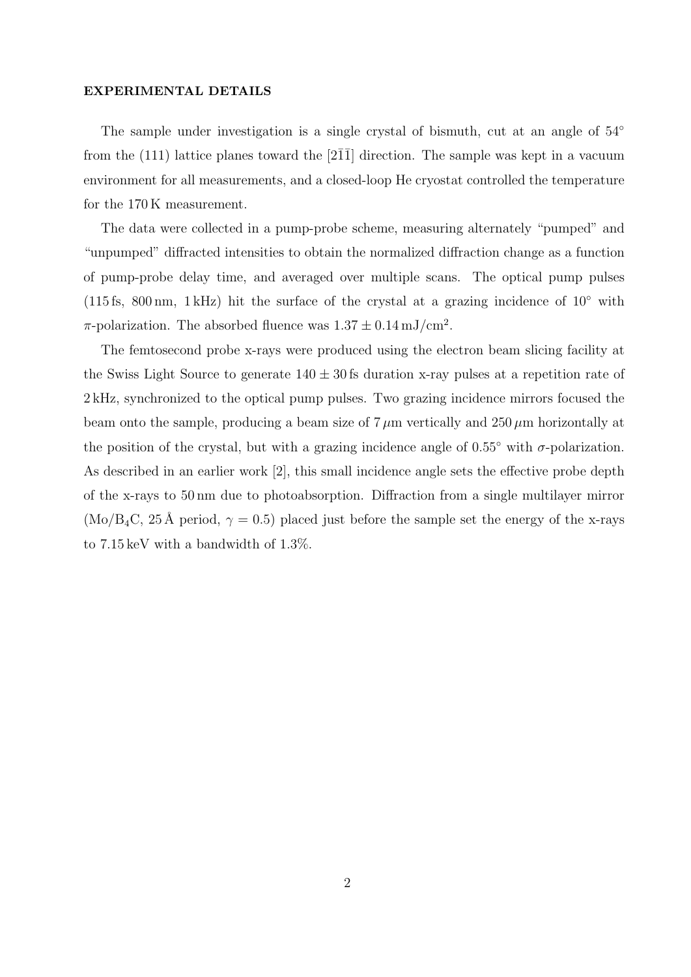#### EXPERIMENTAL DETAILS

The sample under investigation is a single crystal of bismuth, cut at an angle of  $54°$ from the  $(111)$  lattice planes toward the [211] direction. The sample was kept in a vacuum environment for all measurements, and a closed-loop He cryostat controlled the temperature for the 170 K measurement.

The data were collected in a pump-probe scheme, measuring alternately "pumped" and "unpumped" diffracted intensities to obtain the normalized diffraction change as a function of pump-probe delay time, and averaged over multiple scans. The optical pump pulses (115 fs, 800 nm, 1 kHz) hit the surface of the crystal at a grazing incidence of  $10°$  with  $\pi$ -polarization. The absorbed fluence was  $1.37 \pm 0.14 \,\mathrm{mJ/cm^2}$ .

The femtosecond probe x-rays were produced using the electron beam slicing facility at the Swiss Light Source to generate  $140 \pm 30$  fs duration x-ray pulses at a repetition rate of 2 kHz, synchronized to the optical pump pulses. Two grazing incidence mirrors focused the beam onto the sample, producing a beam size of  $7 \mu m$  vertically and  $250 \mu m$  horizontally at the position of the crystal, but with a grazing incidence angle of  $0.55°$  with  $\sigma$ -polarization. As described in an earlier work [2], this small incidence angle sets the effective probe depth of the x-rays to 50 nm due to photoabsorption. Diffraction from a single multilayer mirror (Mo/B<sub>4</sub>C, 25 Å period,  $\gamma = 0.5$ ) placed just before the sample set the energy of the x-rays to 7.15 keV with a bandwidth of 1.3%.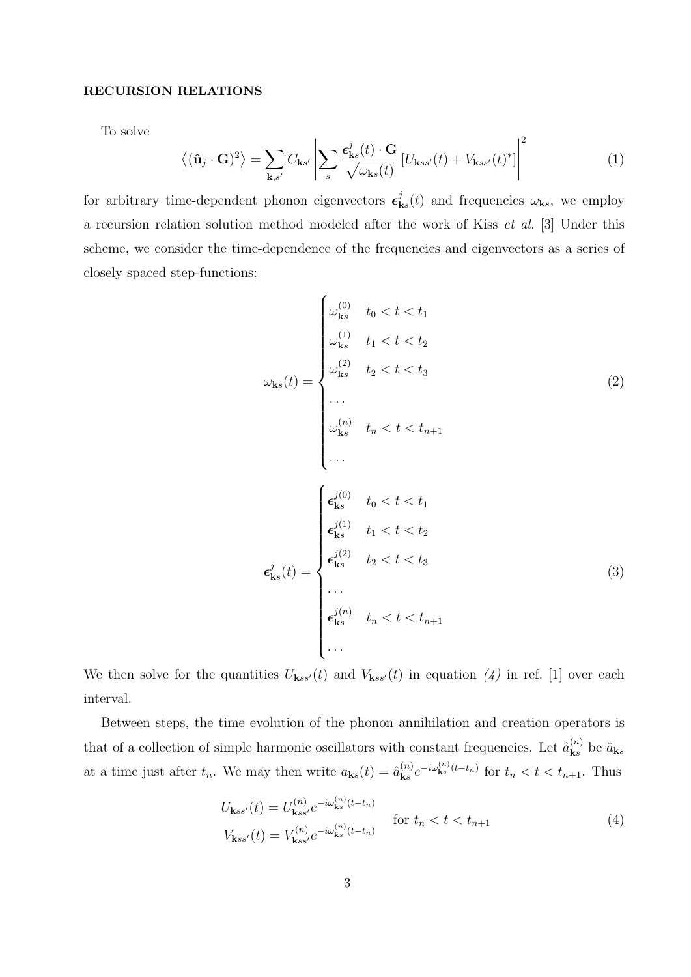### RECURSION RELATIONS

To solve

$$
\langle (\mathbf{\hat{u}}_j \cdot \mathbf{G})^2 \rangle = \sum_{\mathbf{k}, s'} C_{\mathbf{k}s'} \left| \sum_s \frac{\epsilon_{\mathbf{k}s}^j(t) \cdot \mathbf{G}}{\sqrt{\omega_{\mathbf{k}s}(t)}} \left[ U_{\mathbf{k}ss'}(t) + V_{\mathbf{k}ss'}(t)^* \right] \right|^2 \tag{1}
$$

for arbitrary time-dependent phonon eigenvectors  $\epsilon_{\mathbf{k}}^{j}$  $\mathbf{k}_s(t)$  and frequencies  $\omega_{\mathbf{k}s}$ , we employ a recursion relation solution method modeled after the work of Kiss et al. [3] Under this scheme, we consider the time-dependence of the frequencies and eigenvectors as a series of closely spaced step-functions:

$$
\omega_{\mathbf{k}s}(t) = \begin{cases}\n\omega_{\mathbf{k}s}^{(0)} & t_0 < t < t_1 \\
\omega_{\mathbf{k}s}^{(1)} & t_1 < t < t_2 \\
\omega_{\mathbf{k}s}^{(2)} & t_2 < t < t_3 \\
\vdots \\
\omega_{\mathbf{k}s}^{(n)} & t_n < t < t_{n+1} \\
\vdots \\
\omega_{\mathbf{k}s}^{(n)} & t_n < t < t_1 \\
\epsilon_{\mathbf{k}s}^{j(1)} & t_1 < t < t_2 \\
\epsilon_{\mathbf{k}s}^{j(2)} & t_2 < t < t_3 \\
\vdots \\
\epsilon_{\mathbf{k}s}^{j(2)} & t_2 < t < t_3 \\
\vdots \\
\epsilon_{\mathbf{k}s}^{j(n)} & t_n < t < t_{n+1} \\
\vdots \\
\epsilon_{\mathbf{k}s}^{j(n)} & t_n < t < t_{n+1}\n\end{cases}
$$
\n(3)

We then solve for the quantities  $U_{\mathbf{k}ss'}(t)$  and  $V_{\mathbf{k}ss'}(t)$  in equation (4) in ref. [1] over each interval.

Between steps, the time evolution of the phonon annihilation and creation operators is that of a collection of simple harmonic oscillators with constant frequencies. Let  $\hat{a}_{\mathbf{k}s}^{(n)}$  $\hat{a}_{\mathbf{k}s}^{(n)}$  be  $\hat{a}_{\mathbf{k}s}$ at a time just after  $t_n$ . We may then write  $a_{\mathbf{k}s}(t) = \hat{a}_{\mathbf{k}s}^{(n)}$  $\int_{\mathbf{k}s}^{(n)} e^{-i\omega_{\mathbf{k}s}^{(n)}(t-t_n)}$  for  $t_n < t < t_{n+1}$ . Thus

$$
U_{\mathbf{k}ss'}(t) = U_{\mathbf{k}ss'}^{(n)} e^{-i\omega_{\mathbf{k}s}^{(n)}(t-t_n)}
$$
 for  $t_n < t < t_{n+1}$   
\n
$$
V_{\mathbf{k}ss'}(t) = V_{\mathbf{k}ss'}^{(n)} e^{-i\omega_{\mathbf{k}s}^{(n)}(t-t_n)}
$$
 for  $t_n < t < t_{n+1}$  (4)